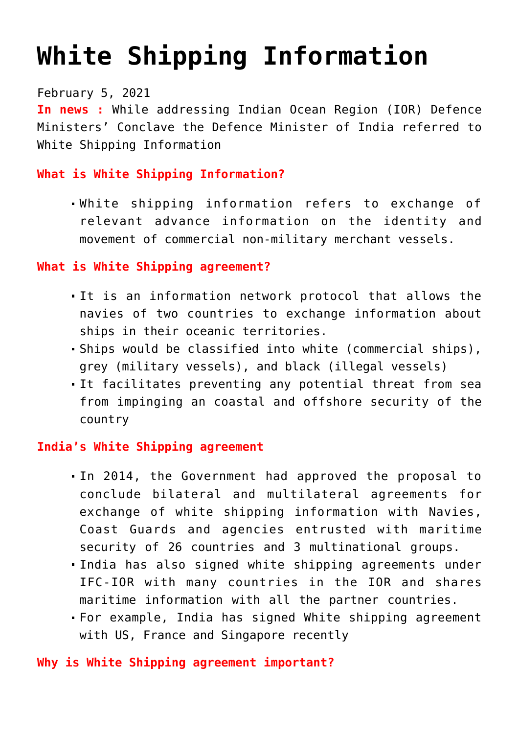# **[White Shipping Information](https://journalsofindia.com/white-shipping-information/)**

February 5, 2021

**In news :** While addressing Indian Ocean Region (IOR) Defence Ministers' Conclave the Defence Minister of India referred to White Shipping Information

## **What is White Shipping Information?**

White shipping information refers to exchange of relevant advance information on the identity and movement of commercial non-military merchant vessels.

### **What is White Shipping agreement?**

- It is an information network protocol that allows the navies of two countries to exchange information about ships in their oceanic territories.
- Ships would be classified into white (commercial ships), grey (military vessels), and black (illegal vessels)
- It facilitates preventing any potential threat from sea from impinging an coastal and offshore security of the country

## **India's White Shipping agreement**

- In 2014, the Government had approved the proposal to conclude bilateral and multilateral agreements for exchange of white shipping information with Navies, Coast Guards and agencies entrusted with maritime security of 26 countries and 3 multinational groups.
- India has also signed white shipping agreements under IFC-IOR with many countries in the IOR and shares maritime information with all the partner countries.
- For example, India has signed White shipping agreement with US, France and Singapore recently

#### **Why is White Shipping agreement important?**